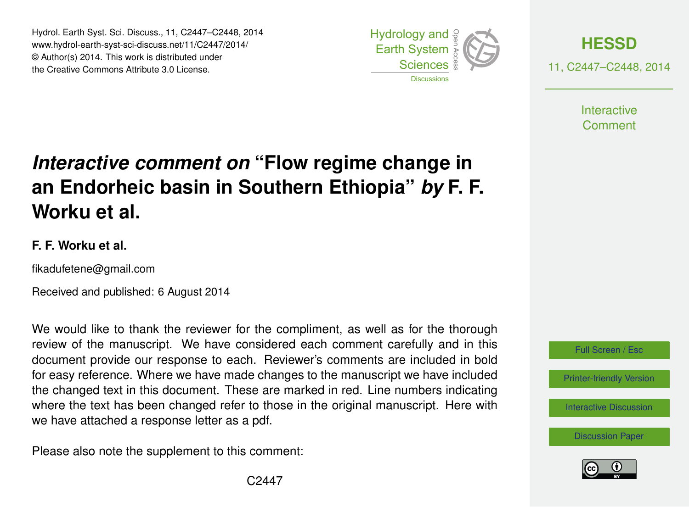Hydrol. Earth Syst. Sci. Discuss., 11, C2447–C2448, 2014 www.hydrol-earth-syst-sci-discuss.net/11/C2447/2014/ © Author(s) 2014. This work is distributed under the Creative Commons Attribute 3.0 License.





**Interactive** Comment

## *Interactive comment on* **"Flow regime change in an Endorheic basin in Southern Ethiopia"** *by* **F. F. Worku et al.**

## **F. F. Worku et al.**

fikadufetene@gmail.com

Received and published: 6 August 2014

We would like to thank the reviewer for the compliment, as well as for the thorough review of the manuscript. We have considered each comment carefully and in this document provide our response to each. Reviewer's comments are included in bold for easy reference. Where we have made changes to the manuscript we have included the changed text in this document. These are marked in red. Line numbers indicating where the text has been changed refer to those in the original manuscript. Here with we have attached a response letter as a pdf.

Please also note the supplement to this comment: